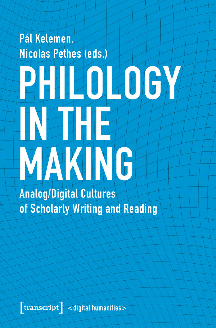# Pál Kelemen, Nicolas Pethes (eds.) PHILOTOGY INEHIR MAKING **Analog/Digital Cultures**

of Scholarly Writing and Reading

[transcript] <digital humanities>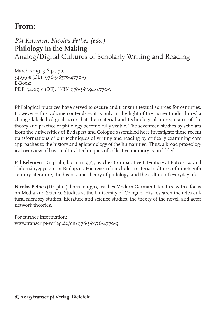# **From:**

*Pál Kelemen, Nicolas Pethes (eds.)* **Philology in the Making** Analog/Digital Cultures of Scholarly Writing and Reading

March 2019, 316 p., pb. 34,99 € (DE), 978-3-8376-4770-9 E-Book: PDF: 34,99 € (DE), ISBN 978-3-8394-4770-3

Philological practices have served to secure and transmit textual sources for centuries. However – this volume contends –, it is only in the light of the current radical media change labeled  $\rightarrow$ digital turn $\leftarrow$  that the material and technological prerequisites of the theory and practice of philology become fully visible. The seventeen studies by scholars from the universities of Budapest and Cologne assembled here investigate these recent transformations of our techniques of writing and reading by critically examining core approaches to the history and epistemology of the humanities. Thus, a broad praxeological overview of basic cultural techniques of collective memory is unfolded.

**Pál Kelemen** (Dr. phil.), born in 1977, teaches Comparative Literature at Eötvös Loránd Tudományegyetem in Budapest. His research includes material cultures of nineteenth century literature, the history and theory of philology, and the culture of everyday life.

**Nicolas Pethes** (Dr. phil.), born in 1970, teaches Modern German Literature with a focus on Media and Science Studies at the University of Cologne. His research includes cultural memory studies, literature and science studies, the theory of the novel, and actor network theories.

For further information: www.transcript-verlag.de/en/978-3-8376-4770-9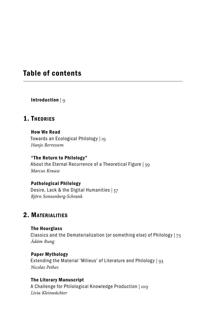## Table of contents

Introduction | 9

## 1. Theories

How We Read Towards an Ecological Philology | 19 *Hanjo Berressem*

#### "The Return to Philology"

About the Eternal Recurrence of a Theoretical Figure | 39 *Marcus Krause*

#### Pathological Philology

Desire, Lack & the Digital Humanities | 57 *Björn Sonnenberg-Schrank*

## 2. Materialities

The Hourglass Classics and the Dematerialization (or something else) of Philology | 73 *Ádám Rung*

#### Paper Mythology Extending the Material 'Milieus' of Literature and Philology | 93 *Nicolas Pethes*

#### The Literary Manuscript

A Challenge for Philological Knowledge Production | 109 *Livia Kleinwächter*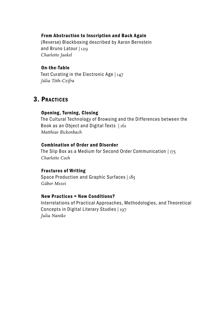#### From Abstraction to Inscription and Back Again

(Reverse) Blackboxing described by Aaron Bernstein and Bruno Latour | 129 *Charlotte Jaekel*

#### On-the-Table

Text Curating in the Electronic Age | 147 *Júlia Tóth-Czifra*

### 3. Practices

#### Opening, Turning, Closing

The Cultural Technology of Browsing and the Differences between the Book as an Object and Digital Texts | 161 *Matthias Bickenbach*

#### Combination of Order and Disorder

The Slip Box as a Medium for Second Order Communication | 175 *Charlotte Coch*

#### Fractures of Writing

Space Production and Graphic Surfaces | 185 *Gábor Mezei*

#### New Practices = New Conditions?

Interrelations of Practical Approaches, Methodologies, and Theoretical Concepts in Digital Literary Studies | 197 *Julia Nantke*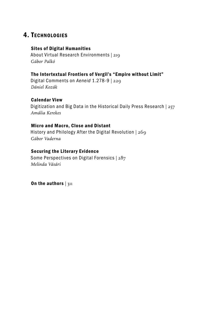## 4. Technologies

#### Sites of Digital Humanities

About Virtual Research Environments | 219 *Gábor Palkó*

#### The Intertextual Frontiers of Vergil's "Empire without Limit"

Digital Comments on *Aeneid* 1.278-9 | 229 *Dániel Kozák* 

#### Calendar View

Digitization and Big Data in the Historical Daily Press Research | 257 *Amália Kerekes*

#### Micro and Macro, Close and Distant

History and Philology After the Digital Revolution | 269 *Gábor Vaderna*

#### Securing the Literary Evidence

Some Perspectives on Digital Forensics | 287 *Melinda Vásári*

On the authors  $|311$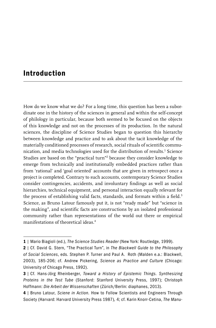## Introduction

How do we know what we do? For a long time, this question has been a subordinate one in the history of the sciences in general and within the self-concept of philology in particular, because both seemed to be focused on the objects of this knowledge and not on the processes of its production. In the natural sciences, the discipline of Science Studies began to question this hierarchy between knowledge and practice and to ask about the tacit knowledge of the materially conditioned processes of research, social rituals of scientific communication, and media technologies used for the distribution of results.<sup>1</sup> Science Studies are based on the "practical turn"<sup>2</sup> because they consider knowledge to emerge from technically and institutionally embedded practices rather than from 'rational' and 'goal oriented' accounts that are given in retrospect once a project is completed. Contrary to such accounts, contemporary Science Studies consider contingencies, accidents, and involuntary findings as well as social hierarchies, technical equipment, and personal interaction equally relevant for the process of establishing valid facts, standards, and formats within a field.<sup>3</sup> Science, as Bruno Latour famously put it, is not "ready made" but "science in the making", and scientific facts are constructions by an isolated professional community rather than representations of the world out there or empirical manifestations of theoretical ideas.4

<sup>1</sup> | Mario Biagioli (ed.), *The Science Studies Reader* (New York: Routledge, 1999).

<sup>2</sup> | Cf. David G. Stern, "The Practical Turn", in *The Blackwell Guide to the Philosophy of Social Sciences*, eds. Stephen P. Turner and Paul A. Roth (Malden e.a.: Blackwell, 2003), 185-206; cf. Andrew Pickering, *Science as Practice and Culture* (Chicago: University of Chicago Press, 1992).

<sup>3</sup> | Cf. Hans-Jörg Rheinberger, *Toward a History of Epistemic Things. Synthesizing Proteins in the Test Tube* (Stanford: Stanford University Press, 1997); Christoph Hoffmann: *Die Arbeit der Wissenschaften* (Zürich/Berlin: diaphanes, 2013).

<sup>4</sup> | Bruno Latour, *Sciene in Action.* How to Follow Scientists and Engineers Through Society (Harvard: Harvard University Press 1987)*,* 4; cf. Karin Knorr-Cetina, *The Manu-*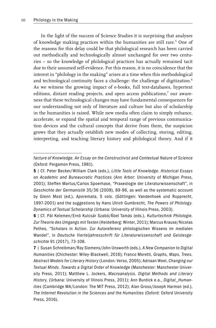In the light of the success of Science Studies it is surprising that analyses of knowledge making practices within the humanities are still rare.<sup>5</sup> One of the reasons for this delay could be that philological research has been carried out methodically and technologically almost unchanged for over two centuries – so the knowledge of philological practices has actually remained tacit due to their assumed self-evidence. For this reason, it is no coincidence that the interest in "philology in the making" arises at a time when this methodological and technological continuity faces a challenge: the challenge of digitization.<sup>6</sup> As we witness the growing impact of e-books, full text-databases, hypertext editions, distant reading projects, and open access publications,<sup>7</sup> our awareness that these technological changes may have fundamental consequences for our understanding not only of literature and culture but also of scholarship in the humanities is raised. While new media often claim to simply enhance, accelerate, or expand the spatial and temporal range of previous communication devices and the cultural concepts that derive from them, the suspicion grows that they actually establish new modes of collecting, storing, editing, interpreting, and teaching literary history and philological theory. And if it

*facture of Knowledge. An Essay on the Constructivist and Contextual Nature of Science* (Oxford: Pergamon Press, 1981).

<sup>5</sup> | Cf. Peter Becker/William Clark (eds.), *Little Tools of Knowledge. Historical Essays on Academic and Bureaucratic Practices* (Ann Arbor: University of Michigan Press, 2001); Steffen Martus/Carlos Spoerhase, "Praxeologie der Literaturwissenschaft", in *Geschichte der Germanistik* 35/36 (2009), 89-96, as well as the systematic account by Glenn Most (ed.), *Aporemata*, 5 vols. (Göttingen: Vandenhoek und Rupprecht, 1997-2001) and the suggestions by Hans Ulrich Gumbrecht, *The Powers of Philology. Dynamics of Textual Scholarship* (Urbana: University of Illinois Press, 2003).

<sup>6</sup> | Cf. Pál Kelemen/Ernö Kulcsár Szabó/Ábel Tamás (eds.), *Kulturtechnik Philologie*. *Zur Theorie des Umgangs mit Texten* (Heidelberg: Winter, 2011); Marcus Krause/Nicolas Pethes, "Scholars in Action. Zur Autoreferenz philologischen Wissens im medialen Wandel", in *Deutsche Vierteljahresschrift für Literaturwissenschaft und Geistesgeschichte* 91 (2017), 73-108.

<sup>7</sup> | Susan Schreibman/Ray Siemens/John Unsworth (eds.), *A New Companion to Digital Humanities* (Chichester: Wiley-Blackwell, 2016); Franco Moretti, *Graphs, Maps, Trees. Abstract Models for Literary History* (London: Verso, 2005); Adriaan Weel, *Changing our Textual Minds. Towards a Digital Order of Knowledge* (Manchester: Manchester University Press, 2011); Matthew L. Jockers, *Macroanalysis. Digital Methods and Literary History*, (Urbana: University of Illinois Press, 2011); Ann Burdick e.a., *Digital\_Humanities* (Cambridge MA/London: The MIT Press, 2012); Alan Gross/Joseph Harmon (ed.), *The Internet Revolution in the Sciences and the Humanities* (Oxford: Oxford University Press, 2016).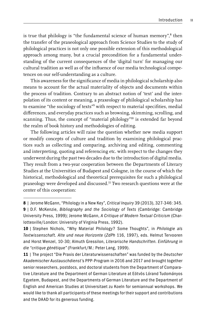is true that philology is "the fundamental science of human memory",<sup>8</sup> then the transfer of the praxeological approach from Science Studies to the study of philological practices is not only one possible extension of this methodological approach among many, but a crucial precondition for a fundamental understanding of the current consequences of the 'digital turn' for managing our cultural tradition as well as of the influence of our media technological competences on our self-understanding as a culture.

This awareness for the significance of media in philological scholarship also means to account for the actual materiality of objects and documents within the process of tradition. Contrary to an abstract notion of 'text' and the interpolation of its content or meaning, a praxeology of philological scholarship has to examine "the sociology of texts"<sup>9</sup> with respect to material specifities, medial differences, and everyday practices such as browsing, skimming, scrolling, and scanning. Thus, the concept of "material philology"<sup>10</sup> is extended far beyond the realm of book history and methodologies of editing.

The following articles will raise the question whether new media support or modify concepts of culture and tradition by examining philological practices such as collecting and comparing, archiving and editing, commenting and interpreting, quoting and referencing etc. with respect to the changes they underwent during the past two decades due to the introduction of digital media. They result from a two-year cooperation between the Departments of Literary Studies at the Universities of Budapest and Cologne, in the course of which the historical, methodological and theoretical prerequisites for such a philological praxeology were developed and discussed.11 Two research questions were at the center of this cooperation:

<sup>8</sup> | Jerome McGann, "Philology in a New Key", *Critical Inquiry* 39 (2013), 327-346: 345.

<sup>9</sup> | D.F. McKenzie, *Bibliography and the Sociology of Texts* (Cambridge: Cambridge University Press, 1999); Jerome McGann, *A Critique of Modern Textual Criticism* (Charlottesville/London: University of Virginia Press, 1992).

<sup>10</sup> | Stephen Nichols, "Why Material Philology? Some Thoughts", in *Philologie als Textwissenschaft. Alte und neue Horizonte* (*ZdPh* 116, 1997), eds. Helmut Tervooren and Horst Wenzel, 10-30; Almuth Gressilon, *Literarische Handschriften. Einführung in die "critique génétique"* (Frankfurt/M.: Peter Lang, 1999).

<sup>11</sup> | The project "Die Praxis der Literaturwissenschaften" was funded by the *Deutscher Akademischer Austauschdienst'*s PPP-Program in 2016 and 2017 and brought together senior researchers, postdocs, and doctoral students from the Department of Comparative Literature and the Department of German Literature at Eötvös Lórand Tudományos Egyetem, Budapest, and the Departments of German Literature and the Department of English and American Studies at Universitaet zu Koeln for semiannual workshops. We would like to thank all participants of these meetings for their support and contributions and the DAAD for its generous funding.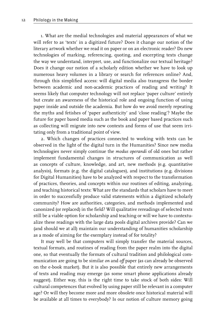1. What are the medial technologies and material appearances of what we will refer to as 'texts' in a digitized future? Does it change our notion of the literary artwork whether we read it on paper or on an electronic reader? Do new technologies of marking, referencing, quoting, and excerpting texts change the way we understand, interpret, use, and functionalize our textual heritage? Does it change our notion of a scholarly edition whether we have to look up numerous heavy volumes in a library or search for references online? And, through this simplified access: will digital media also transgress the border between academic and non-academic practices of reading and writing? It seems likely that computer technology will not replace 'paper culture' entirely but create an awareness of the historical role and ongoing function of using paper inside and outside the academia. But how do we avoid merely repeating the myths and fetishes of 'paper authenticity' and 'close reading'? Maybe the future for paper based media such as the book and paper based practices such as collecting will migrate into new contexts and forms of use that seem irritating only from a traditional point of view.

2. Which changes of practices connected to working with texts can be observed in the light of the digital turn in the Humanities? Since new media technologies never simply continue the *modus operandi* of old ones but rather implement fundamental changes in structures of communication as well as concepts of culture, knowledge, and art, new methods (e.g. quantitative analysis), formats (e.g. the digital catalogues), and institutions (e.g. divisions for Digital Humanities) have to be analyzed with respect to the transformation of practices, theories, and concepts within our routines of editing, analyzing, and teaching historical texts: What are the standards that scholars have to meet in order to successfully produce valid statements within a digitized scholarly community? How are authorities, categories, and methods implemented and canonized (or replaced) in the field? Will qualitative rereadings of selected texts still be a viable option for scholarship and teaching or will we have to contextualize these readings with the large data pools digital archives provide? Can we (and should we at all) maintain our understanding of humanities scholarship as a mode of aiming for the exemplary instead of for totality?

It may well be that computers will simply transfer the material sources, textual formats, and routines of reading from the paper realm into the digital one, so that eventually the formats of cultural tradition and philological communication are going to be similar *on* and *off* paper (as can already be observed on the e-book market). But it is also possible that entirely new arrangements of texts and reading may emerge (as some smart phone applications already suggest). Either way, this is the right time to take stock of both sides: Will cultural competences that evolved by using paper still be relevant in a computer age? Or will they become more and more obsolete once historical material will be available at all times to everybody? Is our notion of culture memory going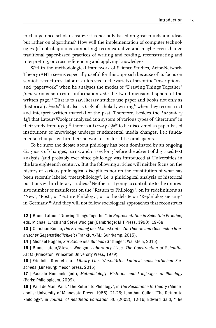to change once scholars realize it is not only based on great minds and ideas but rather on algorithms? How will the implementation of computer technologies (if not ubiquitous computing) recontextualize and maybe even change traditional paper-based practices of writing and reading, reconstructing and interpreting, or cross-referencing and applying knowledge?

Within the methodological framework of Science Studies, Actor-Network-Theory (ANT) seems especially useful for this approach because of its focus on semiotic structures: Latour is interested in the variety of scientific "inscriptions" and "paperwork" when he analyses the modes of "Drawing Things Together" *from* various sources of information *onto* the two-dimensional sphere of the written page.<sup>12</sup> That is to say, literary studies use paper and books not only as (historical) *objects*13 but also as *tools* of scholarly writing14 when they reconstruct and interpret written material of the past. Therefore, besides the *Laboratory Life* that Latour/Woolgar analyzed as a system of various types of "literature" in their study from 1979,15 there is a *Library Life*<sup>16</sup> to be discovered as paper based institutions of knowledge undergo fundamental media changes, i.e.: fundamental changes within their network of materialities and agents.

To be sure: the debate about philology has been dominated by an ongoing diagnosis of changes, turns, and crises long before the advent of digitized text analysis (and probably ever since philology was introduced at Universities in the late eighteenth century). But the following articles will neither focus on the history of various philological disciplines nor on the constitution of what has been recently labeled "metaphilology", i.e. a philological analysis of historical positions within literary studies.17 Neither is it going to contribute to the impressive number of manifestos on the "Return to Philology", on its redefinitions as "New", "Post", or "Future Philology", or to the debate on "Rephilologisierung" in Germany.18 And they will not follow sociological approaches that reconstruct

<sup>12</sup> | Bruno Latour, "Drawing Things Together", in *Representation in Scientific Practice,*  eds. Michael Lynch and Steve Woolgar (Cambridge: MIT Press, 1990), 19-68.

<sup>13 |</sup> Christian Benne, Die Erfindung des Manuskripts. Zur Theorie und Geschichte liter*arischer Gegenständlichkeit* (Frankfurt/M.: Suhrkamp, 2015).

<sup>14</sup> | Michael Hagner, *Zur Sache des Buches* (Göttingen: Wallstein, 2015).

<sup>15</sup> | Bruno Latour/Steven Woolgar, *Laboratory Lives. The Construction of Scientific Facts* (Princeton: Princeton University Press, 1979).

<sup>16</sup> | Friedolin Krentel e.a., *Library Life. Werkstätten kulturwissenschaftlichen Forschens* (Lüneburg: meson press, 2015).

<sup>17</sup> | Pascale Hummels (ed.), *Metaphilology. Histories and Languages of Philology* (Paris: Philologicum, 2009).

<sup>18</sup> | Paul de Man, Paul, "The Return to Philology", in *The Resistance to Theory* (Minneapolis: University of Minnesota Press, 1986), 21-26; Jonathan Culler, "The Return to Philology", in *Journal of Aesthetic Education* 36 (2002), 12-16; Edward Said, "The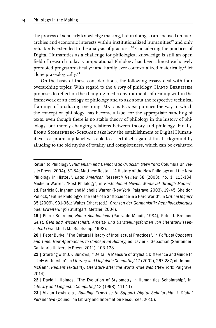the process of scholarly knowledge making, but in doing so are focused on hierarchies and economic interests within institutionalized humanities<sup>19</sup> and only reluctantly extended to the analysis of practices.<sup>20</sup> Considering the practices of Digital Humanities as a challenge for philological knowledge is still an open field of research today: Computational Philology has been almost exclusively promoted programmatically<sup>21</sup> and hardly ever contextualized historically,<sup>22</sup> let alone praxeologically.<sup>23</sup>

On the basis of these considerations, the following essays deal with four overarching topics: With regard to the *theory* of philology, Hanjo Berressem proposes to reflect on the changing media environments of reading within the framework of an ecology of philology and to ask about the respective technical framings of producing meaning. Marcus Krause pursues the way in which the concept of 'philology' has become a label for the appropriate handling of texts, even though there is no stable theory of philology in the history of philology, but merely changing relations between theory and philology. Finally, Björn Sonnenberg-Schrank asks how the establishment of Digital Humanities as a promising label was able to assert itself against this background by alluding to the old myths of totality and completeness, which can be evaluated

Return to Philology", *Humanism and Democratic Criticism* (New York: Columbia University Press, 2004), 57-84; Matthew Restall, "A History of the New Philology and the New Philology in History", *Latin American Research Review* 38 (2003), no. 1, 113-134; Michelle Warren, "Post-Philology", in *Postcolonial Moves. Medieval through Modern*, ed. Patricia C. Ingham and Michelle Warren (New York: Palgrave, 2003), 19-45; Sheldon Pollock, "Future Philology? The Fate of a Soft Science in a Hard World", in *Critical Inquiry*  35 (2009), 931-961; Walter Erhart (ed.), *Grenzen der Germanistik: Rephilologisierung oder Erweiterung?* (Stuttgart: Metzler, 2004).

<sup>19</sup> | Pierre Bourdieu, *Homo Academicus* (Paris: de Minuit, 1984); Peter J. Brenner, *Geist, Geld und Wissenschaft. Arbeits- und Darstellungsformen von Literaturwissenschaft* (Frankfurt/M.: Suhrkamp, 1993).

<sup>20</sup> | Peter Burke, "The Cultural History of Intellectual Practices", in *Political Concepts and Time. New Approaches to Conceptual History,* ed. Javier F. Sebastián (Santander: Cantabria University Press, 2011), 103-128.

<sup>21 |</sup> Starting with J.F. Burrows, "'Delta': A Measure of Stylistic Difference and Guide to Likely Authorship", in *Literary and Linguistic Computing* 17 (2002), 267-287; cf. Jerome McGann, *Radiant Textuality. Literature after the World Wide Web* (New York: Palgrave, 2014).

<sup>22 |</sup> David I. Holmes, "The Evolution of Stylometry in Humanities Scholarship", in: *Literary and Linguistic Computing* 13 (1998), 111-117.

<sup>23</sup> | Vivian Lewis e.a., *Building Expertise to Support Digital Scholarship: A Global Perspective* (Council on Library and Information Resources, 2015).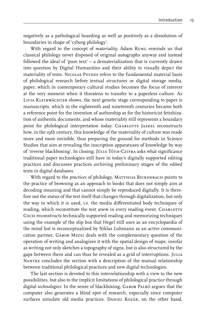negatively as a pathological hoarding as well as positively as a dissolution of boundaries in shape of 'cyborg philology'.

With regard to the concept of *materiality*, Ádam Rung reminds us that classical philology never disposed of original autographs anyway and instead followed the ideal of 'pure text' – a dematerialization that is currently drawn into question by Digital Humanities and their ability to visually depict the materiality of texts. NICOLAS PETHES refers to the fundamental material basis of philological research before textual structures or digital storage media, paper, which in contemporary cultural studies becomes the focus of interest at the very moment when it threatens to transfer to a paperless culture. As Livia Kleinwächter shows, the next genetic stage corresponding to paper is manuscripts, which in the eighteenth and nineteenth centuries became both a reference point for the invention of authorship as for the historicist fetishization of authentic documents, and whose materiality still represents a boundary point for philological interpretation today. CHARLOTTE JAEKEL reconstructs how, in the 19th century, this knowledge of the materiality of culture was made more and more invisible, thus preparing the ground for methods in Science Studies that aim at revealing the inscription apparatuses of knowledge by way of 'reverse blackboxing'. In closing, JÚLIA TÓTH-CZIFRA asks what significance traditional paper technologies still have in today's digitally supported editing practices and discusses practices archiving preliminary stages of the edited texts in digital databases.

With regard to the *practices* of philology, MATTHIAS BICKENBACH points to the practice of browsing as an approach to books that does not simply aim at decoding meaning and that cannot simply be reproduced digitally. It is therefore not the status of the text itself that changes through digitalization, but only the way in which it is used, i.e. the media differentiated body techniques of reading, which reconstitute the text anew in every reading event. CHARLOTTE Coch reconstructs technically supported reading and memorizing techniques using the example of the slip box that Hegel still uses as an encyclopaedia of the mind but is reconceptualized by Niklas Luhmann as an active communication partner. Gábor Mezei deals with the complementary question of the operation of writing and analogizes it with the spatial design of maps, insofar as writing not only sketches a topography of signs, but is also structured by the gaps between them and can thus be revealed as a grid of interruptions. JULIA NANTKE concludes the section with a description of the mutual relationship between traditional philological practices and new digital technologies.

The last section is devoted to this interrelationship with a view to the new possibilities, but also to the implicit limitations of philological practice through digital *technologies*: In the sense of blackboxing, GABOR PALKÓ argues that the computer also generates a blind spot of research, especially since computer surfaces simulate old media practices. DANIEL KOZÁK, on the other hand,